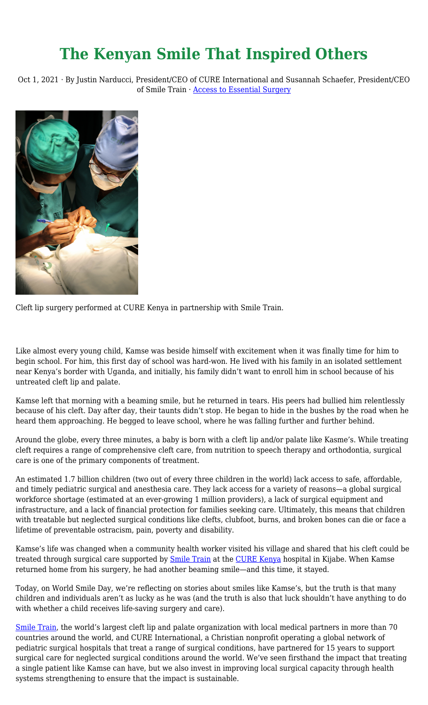## **The Kenyan Smile That Inspired Others**

Oct 1, 2021 · By Justin Narducci, President/CEO of CURE International and Susannah Schaefer, President/CEO of Smile Train · [Access to Essential Surgery](https://cure.org/category/access-to-essential-surgery/)



Cleft lip surgery performed at CURE Kenya in partnership with Smile Train.

Like almost every young child, Kamse was beside himself with excitement when it was finally time for him to begin school. For him, this first day of school was hard-won. He lived with his family in an isolated settlement near Kenya's border with Uganda, and initially, his family didn't want to enroll him in school because of his untreated cleft lip and palate.

Kamse left that morning with a beaming smile, but he returned in tears. His peers had bullied him relentlessly because of his cleft. Day after day, their taunts didn't stop. He began to hide in the bushes by the road when he heard them approaching. He begged to leave school, where he was falling further and further behind.

Around the globe, every three minutes, a baby is born with a cleft lip and/or palate like Kasme's. While treating cleft requires a range of comprehensive cleft care, from nutrition to speech therapy and orthodontia, surgical care is one of the primary components of treatment.

An estimated 1.7 billion children (two out of every three children in the world) lack access to safe, affordable, and timely pediatric surgical and anesthesia care. They lack access for a variety of reasons—a global surgical workforce shortage (estimated at an ever-growing 1 million providers), a lack of surgical equipment and infrastructure, and a lack of financial protection for families seeking care. Ultimately, this means that children with treatable but neglected surgical conditions like clefts, clubfoot, burns, and broken bones can die or face a lifetime of preventable ostracism, pain, poverty and disability.

Kamse's life was changed when a community health worker visited his village and shared that his cleft could be treated through surgical care supported by [Smile Train](https://www.smiletrain.org/) at the [CURE Kenya](https://cure.org/hospitals/kenya/) hospital in Kijabe. When Kamse returned home from his surgery, he had another beaming smile—and this time, it stayed.

Today, on World Smile Day, we're reflecting on stories about smiles like Kamse's, but the truth is that many children and individuals aren't as lucky as he was (and the truth is also that luck shouldn't have anything to do with whether a child receives life-saving surgery and care).

[Smile Train,](https://www.smiletrain.org/) the world's largest cleft lip and palate organization with local medical partners in more than 70 countries around the world, and CURE International, a Christian nonprofit operating a global network of pediatric surgical hospitals that treat a range of surgical conditions, have partnered for 15 years to support surgical care for neglected surgical conditions around the world. We've seen firsthand the impact that treating a single patient like Kamse can have, but we also invest in improving local surgical capacity through health systems strengthening to ensure that the impact is sustainable.